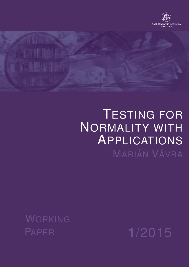



# TESTING FOR NORMALITY WITH APPLICATIONS MARIÁN VÁVRA

WORKING

PAPER **1**/2015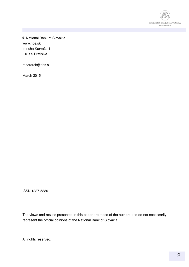

© National Bank of Slovakia www.nbs.sk Imricha Karvaša 1 813 25 Bratislva

reserarch@nbs.sk

March 2015

ISSN 1337-5830

The views and results presented in this paper are those of the authors and do not necessarily represent the official opinions of the National Bank of Slovakia.

All rights reserved.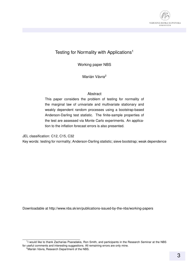

#### Testing for Normality with Applications<sup>1</sup>

Working paper NBS

Marián Vávra<sup>2</sup>

#### **Abstract**

This paper considers the problem of testing for normality of the marginal law of univariate and multivariate stationary and weakly dependent random processes using a bootstrap-based Anderson-Darling test statistic. The finite-sample properties of the test are assessed via Monte Carlo experiments. An application to the inflation forecast errors is also presented.

JEL classification: C12, C15, C32

Key words: testing for normality; Anderson-Darling statistic; sieve bootstrap; weak dependence

Downloadable at http://www.nbs.sk/en/publications-issued-by-the-nbs/working-papers

<sup>&</sup>lt;sup>1</sup>I would like to thank Zacharias Psaradakis, Ron Smith, and participants in the Research Seminar at the NBS for useful comments and interesting suggestions. All remaining errors are only mine.

 $2^2$ Marián Vávra, Research Department of the NBS.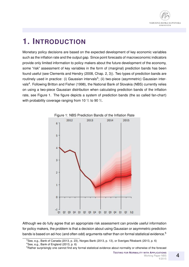

### **1. INTRODUCTION**

Monetary policy decisions are based on the expected development of key economic variables such as the inflation rate and the output gap. Since point forecasts of macroeconomic indicators provide only limited information to policy makers about the future development of the economy, some "risk" assessment of key variables in the form of (marginal) prediction bands has been found useful (see Clements and Hendry (2008, Chap. 2, 3)). Two types of prediction bands are routinely used in practice: (i) Gaussian intervals<sup>3</sup>; (ii) two-piece (asymmetric) Gaussian intervals<sup>4</sup>. Following Britton and Fisher (1998), the National Bank of Slovakia (NBS) currently relies on using a two-piece Gaussian distribution when calculating prediction bands of the inflation rate, see Figure 1. The figure depicts a system of prediction bands (the so called fan-chart) with probability coverage ranging from 10  $\%$  to 90  $\%$ .



Figure 1: NBS Prediction Bands of the Inflation Rate

Although we do fully agree that an appropriate risk assessment can provide useful information for policy makers, the problem is that a decision about using Gaussian or asymmetric prediction bands is based on ad-hoc (and often odd) arguments rather than on formal statistical evidence.<sup>5</sup>

 $3$ See, e.g., Bank of Canada (2013, p. 23), Norges Bank (2013, p. 13), or Sveriges Riksbank (2013, p. 6)

<sup>4</sup>See, e.g., Bank of England (2013, p. 6)

<sup>&</sup>lt;sup>5</sup>Rather surprisingly one cannot find any formal statistical evidence about normality or otherwise of the forecast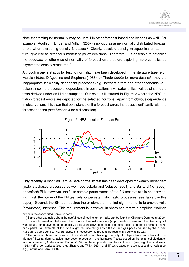Note that testing for normality may be useful in other forecast-based applications as well. For example, Adolfson, Lindé, and Villani (2007) implicitly assume normally distributed forecast errors when evaluating density forecasts.<sup>6</sup> Clearly, possible density misspecification can, in turn, give rise to erroneous monetary policy decisions. Therefore, it is desirable to establish the adequacy or otherwise of normality of forecast errors before exploring more complicated asymmetric density structures.<sup>7</sup>

Although many statistics for testing normality have been developed in the literature (see, e.g., Mardia (1980), D'Agostino and Stephens (1986), or Thode (2002) for more details)<sup>8</sup>, they are inappropriate for weakly dependent processes (e.g. forecast errors and other economic variables) since the presence of dependence in observations invalidates critical values of standard tests derived under an i.i.d assumption. Our point is illustrated in Figure 2 where the NBS inflation forecast errors are depicted for the selected horizons. Apart from obvious dependence in observations, it is clear that persistence of the forecast errors increases significantly with the forecast horizon (see Section 4 for a discussion).





Only recently, a modified Jarque-Bera normality test has been developed for weakly dependent (w.d.) stochastic processes as well (see Lobato and Velasco (2004) and Bai and Ng (2005), henceforth BN). However, the finite sample performance of the BN test statistic is not convincing. First, the power of the BN test fails for persistent stochastic processes (see Table 3 in this paper). Second, the BN test requires the existence of the first eight moments to provide valid (asymptotic) inference. This requirement is, however, in sharp contrast with empirical findings

errors in the above cited Banks' reports.

 $6$ Some other examples about the usefulness of testing for normality can be found in Kilian and Demiroglu (2000). <sup>7</sup>It is worth remarking that even if the historical forecast errors are (approximately) Gaussian, the Bank may still want to use some asymmetric probability distribution allowing for signaling the direction of potential risks to market participants. An example of this type might be uncertainty about the oil and gas prices caused by the current Russian–Ukraine conflict. Nevertheless, it is necessary the present the results in a convincing way.

<sup>&</sup>lt;sup>8</sup>The following three main classes of test statistics for checking normality of independently and identically distributed (i.i.d.) random variables have become popular in the literature: (i) tests based on the empirical distribution function (see, e.g., Anderson and Darling (1952)) or the empirical characteristic function (see, e.g., Hall and Welsh (1983)); (ii) order statistics (see, e.g., Shapiro and Wilk (1965)); and (iii) tests based on skewness and kurtosis (see, e.g., Jarque and Bera (1980)).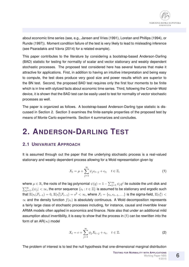about economic time series (see, e.g., Jansen and Vries (1991), Loretan and Phillips (1994), or Runde (1997)). Moment condition failure of the test is very likely to lead to misleading inference (see Psaradakis and Vávra (2014) for a related example).

This paper contributes to the literature by considering a bootstrap-based Anderson-Darling (BAD) statistic for testing for normality of scalar and vector stationary and weakly dependent stochastic processes. The proposed test considered here has several features that make it attractive for applications. First, in addition to having an intuitive interpretation and being easy to compute, the test does produce very good size and power results which are superior to the BN test. Second, the proposed BAD test requires only the first four moments to be finite which is in line with stylized facts about economic time series. Third, following the Cramér-Wold device, it is shown that the BAD test can be easily used to test for normality of vector stochastic processes as well.

The paper is organized as follows. A bootstrap-based Anderson-Darling type statistic is discussed in Section 2. Section 3 examines the finite-sample properties of the proposed test by means of Monte Carlo experiments. Section 4 summarizes and concludes.

### **2. ANDERSON-DARLING TEST**

#### **2.1 UNIVARIATE APPROACH**

It is assumed through out the paper that the underlying stochastic process is a real-valued stationary and weakly dependent process allowing for a Wold representation given by

$$
X_t = \mu + \sum_{j=1}^{\infty} \psi_j \epsilon_{t-j} + \epsilon_t, \quad t \in \mathbb{Z},
$$
 (1)

where  $\mu\in\mathbb{R},$  the roots of the lag polynomial  $\psi(q)=1-\sum_{j=1}^\infty\psi_jq^j$  lie outside the unit disk and  $\sum_{j=1}^\infty j|\psi_j|<\infty$ , the error sequence  $\{\epsilon_t:t\in\mathbb{Z}\}$  is assumed to be stationary and ergodic such that  $\mathbb{E}(\epsilon_t|\mathcal{F}_{t-1})=0,$   $\mathbb{E}(\epsilon_t^2|\mathcal{F}_{t-1})=s^2<\infty,$  where  $\mathcal{F}_t=\{\epsilon_t,\epsilon_{t-1},\ldots\}$  is the sigma-field,  $\mathbb{E}(\epsilon_t^4)<$  $\infty$  and the density function  $f(\epsilon_t)$  is absolutely continuous. A Wold decomposition represents a fairly large class of stochastic processes including, for instance, causal and invertible linear ARMA models often applied in economics and finance. Note also that under an additional mild assumption about invertibility, it is easy to show that the process in (1) can be rewritten into the form of an  $AR(\infty)$  model

$$
X_t = c + \sum_{j=1}^{\infty} \phi_j X_{t-j} + \epsilon_t, \quad t \in \mathbb{Z}.
$$
 (2)

The problem of interest is to test the null hypothesis that one-dimensional marginal distribution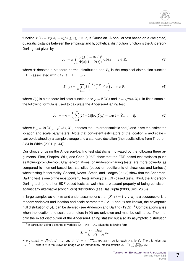

function  $F(z) = \mathbb{P}((X_t - \mu)/\sigma \leq z), z \in \mathbb{R}$ , is Gaussian. A popular test based on a (weighted) quadratic distance between the empirical and hypothetical distribution function is the Anderson-Darling test given by

$$
\mathcal{A}_n = n \int_{\mathbb{R}} \frac{(F_n(z) - \Phi(z))^2}{\Phi(z)(1 - \Phi(z))} d\Phi(z), \quad z \in \mathbb{R},
$$
\n(3)

where  $\Phi$  denotes a standard normal distribution and  $F_n$  is the empirical distribution function (EDF) associated with  $\{X_t : t = 1, \ldots, n\}$ 

$$
F_n(z) = \frac{1}{n} \sum_{t=1}^n I\left(\frac{X_t - \mu}{\sigma} \le z\right), \quad z \in \mathbb{R},\tag{4}
$$

where  $I(\cdot)$  is a standard indicator function and  $\mu=\mathbb{E}(X_t)$  and  $\sigma=\sqrt{\mathrm{var}(X_t)}.$  In finite sample, the following formula is used to calculate the Anderson-Darling test

$$
\hat{\mathcal{A}}_n = -n - \frac{1}{n} \sum_{i=1}^n (2i - 1) [\log(\hat{Y}_{(i)}) - \log(1 - \hat{Y}_{(n-i+1)})],\tag{5}
$$

where  $\hat{Y}_{(i)}=\Phi((X_{(i)}-\hat{\mu})/\hat{\sigma}),$   $X_{(i)}$  denotes the  $i$ -th order statistic and  $\hat{\mu}$  and  $\hat{\sigma}$  are the estimated location and scale parameters. Note that consistent estimators of the location  $\mu$  and scale  $\sigma$ can be obtained by a sample average and a standard deviation (the results follow from Theorem 3.34 in White (2001, p. 44)).

Our choice of using the Anderson-Darling test statistic is motivated by the following three arguments. First, Shapiro, Wilk, and Chen (1968) show that the EDF-based test statistics (such as Kolmogorov-Smirnov, Cramér-von Mises, or Anderson-Darling tests) are more powerful as compared to moment-based test statistics (based on coefficients of skewness and kurtosis) when testing for normality. Second, Noceti, Smith, and Hodges (2003) show that the Anderson-Darling test is one of the most powerful tests among the EDF-based tests. Third, the Anderson-Darling test (and other EDF-based tests as well) has a pleasant property of being consistent against any alternative (continuous) distribution (see DasGupta (2008, Sec. 26.5)).

In large samples as  $n\to\infty$  and under assumptions that  $\{X_t: t=1,\ldots,n\}$  is a sequence of i.i.d random variables and location and scale parameters (i.e.  $\mu$  and  $\sigma$ ) are known, the asymptotic null distribution of  $A_n$  can be derived (see Anderson and Darling (1952)).<sup>9</sup> Complications arise when the location and scale parameters in (4) are unknown and must be estimated. Then not only the exact distribution of the Anderson-Darling statistic but also its asymptotic distribution

$$
\mathcal{A}_n = \int_0^1 \frac{U_n^2(\omega)}{\omega(1-\omega)} \, \mathrm{d}\omega,
$$

where  $U_n(\omega) = \sqrt{n}(G_n(\omega) - \omega)$  and  $G_n(\omega) = n^{-1}\sum_{t=1}^n I(\Phi(z_t) \leq \omega)$  for each  $\omega \in [0,1]$ . Then, it holds that  $U_n\stackrel{d}{\longrightarrow}U$ , where  $U$  is the Brownian bridge which immediately implies statistic  ${\cal A}_n\stackrel{d}{\longrightarrow}\int_0^1\frac{U^2(\omega)}{\omega(1-\omega)}\,\mathrm{d}\omega.$ 

 $^9$ In particular, using a change of variable ( $\omega=\Phi(z)$ ),  $\mathcal{A}_n$  takes the following form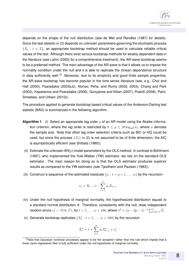depends on the shape of the null distribution (see de Wet and Randles (1987) for details). Since the test statistic in (3) depends on unknown parameters governing the stochastic process  $\{X_t : t \in \mathbb{Z}\}$ , an appropriate bootstrap method should be used to calculate reliable critical values of the test. Although there exist various bootstrap methods for weakly dependent data in the literature (see Lahiri (2003) for a comprehensive treatment), the AR-sieve bootstrap seems to be a preferred method. The main advantage of the AR-sieve is that it allows us to impose the normality condition under the null and it is able to replicate the (linear) dependence structure in data sufficiently well.<sup>10</sup> Moreover, due to its simplicity and good finite sample properties, the AR-sieve bootstrap has become popular in the time series literature (see, e.g., Choi and Hall (2000), Psaradakis (2003a,b), Alonso, Peña, and Romo (2002, 2003), Chang and Park (2003), Kapetanios and Psaradakis (2006), Gonçalves and Kilian (2007), Poskitt (2008), Palm, Smeekes, and Urbain (2010)).

The procedure applied to generate bootstrap based critical values of the Anderson-Darling test statistic (BAD) is summarized in the following algorithm.

- **Algorithm 1** (i) Select an appropriate lag order  $p$  of an AR model using the Akaike information criterion, where the lag order is restricted by  $0 \le p \le 10 \log_{10}(n)$ , where n denotes the sample size. Note that other lag order selection criteria such as BIC or HQ could be used, but since the process  $\{X_t\}$  in (2) is not assumed to be of finite dimension, the AIC is asymptotically efficient (see Shibata (1980)).
- (ii) Estimate the unknown  $AR(p)$  model parameters by the OLS method. In contrast to Bühlmann (1997), who implemented the Yule-Walker (YW) estimator, we rely on the standard OLS estimator. The main reason for doing so is that the OLS estimator produces superior results as compared to the YW estimator (see Tjøstheim and Paulsen (1983)).
- (iii) Construct a sequence of the estimated residuals  $\{\hat{\epsilon}_t : t = p+1, \ldots, n\}$  by the recursion

$$
\hat{\epsilon}_t = X_t - \hat{c} - \sum_{i=1}^p \hat{\phi}_i X_{t-i}.
$$

- (iv) Under the null hypothesis of marginal normality, the hypothesized distribution equals to a standard normal distribution Φ. Therefore, consistently with the null, draw independent random errors  $\epsilon_t^* \sim N(0, \hat{s}^2)$ , for  $t = 1, \ldots, n + 100$ , where  $\hat{s}^2 = (n - 2p - 1)^{-1} \sum_{t=p+1}^n \hat{\epsilon}_t^2$ .
- (v) Generate bootstrap replicates  $\{X_t^*: t = 1, \ldots, n + 100\}$  by the recursion

$$
X_t^* = \hat{c} + \sum_{i=1}^p \hat{\phi}_i X_{t-i}^* + \epsilon_t^*,
$$

<sup>&</sup>lt;sup>10</sup>Note that Gaussian nonlinear processes appear to be the exception rather than the rule which implies that a linear (auto-regressive) filter is fully sufficient under the null hypothesis of marginal normality.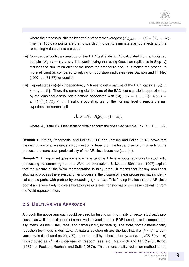where the process is initiated by a vector of sample averages:  $(X_{-p+1}^*,\ldots,X_0^*)=(\bar{X},\ldots,\bar{X}).$ The first 100 data points are then discarded in order to eliminate start-up effects and the remaining  $n$  data points are used.

- (vi) Construct a bootstrap analogy of the BAD test statistic  $\mathcal{A}_n^*$  calculated from a bootstrap sample  $\{X_t^* : t = 1, \ldots, n\}$ . It is worth noting that using Gaussian replicates in Step (v) reduces the simulation error of the bootstrap procedure and, thus makes the procedure more efficient as compared to relying on bootstrap replicates (see Davison and Hinkley (1997, pp. 31-37) for details).
- (vii) Repeat steps (iv)–(vi) independently B times to get a sample of the BAD statistics  $\{\mathcal{A}_{n,i}^* :$  $i = 1, \ldots, B$ . Then, the sampling distributions of the BAD test statistic is approximated by the empirical distribution functions associated with  $\{\mathcal{A}_{n,i}^* : i = 1,\ldots,B\}$ :  $H_n^*(u) =$  $B^{-1}\sum_{i=1}^B I(\mathcal{A}_{n,i}^*\ \le\ u).$  Finally, a bootstrap test of the nominal level  $\alpha$  rejects the null hypothesis of normality if

$$
\hat{\mathcal{A}}_n > \inf\{u : H_n^*(u) \ge (1 - \alpha)\},\
$$

where  $\hat{\mathcal{A}}_n$  is the BAD test statistic obtained form the observed sample  $\{X_t:t=1,\ldots,n\}.$ 

**Remark 1:** Kreiss, Paparoditis, and Politis (2011) and Jentsch and Politis (2013) prove that the distribution of a relevant statistic must only depend on the first and second moments of the process to ensure asymptotic validity of the AR-sieve bootstrap (see (4)).

**Remark 2:** An important question is to what extent the AR-sieve bootstrap works for stochastic processing not stemming from the Wold representation. Bickel and Bühlmann (1997) explain that the closure of the Wold representation is fairly large. It means that for any non-linear stochastic process there exist another process in the closure of linear processes having identical sample paths with probability exceeding  $1/e \approx 0.37$ . This finding implies that the AR-sieve bootstrap is very likely to give satisfactory results even for stochastic processes deviating from the Wold representation.

#### **2.2 MULTIVARIATE APPROACH**

Although the above approach could be used for testing joint normality of vector stochastic processes as well, the estimation of a multivariate version of the EDF-based tests is computationally intensive (see Justel, Peña, and Zamar (1997) for details). Therefore, some dimensionality reduction technique is desirable. A natural solution utilizes the fact that if a  $(k \times 1)$  random vector  $x_t$  is distributed as  $N(\mu, \Sigma)$  under the null hypothesis, then  $y_t=(\bm{x}_t-\bm{\mu})'\bm{\Sigma}^{-1}(\bm{x}_t-\bm{\mu})$ is distributed as  $\chi^2$  with  $k$  degrees of freedom (see, e.g., Malkovich and Afifi (1973), Koziol (1982), or Paulson, Roohan, and Sullo (1987)). This dimensionality reduction method is not,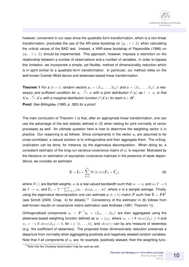

however, convenient in our case since the quadratic-form transformation, which is a non-linear transformation, precludes the use of the AR-sieve bootstrap on  $\{y_t : t \in \mathbb{Z}\}$  when calculating the critical values of the BAD test. Instead, a VAR-sieve bootstrap of Paparoditis (1996) on  $\{x_t : t \in \mathbb{Z}\}$  should be implemented. This approach, however, imposes a restriction on the relationship between a number of observations and a number of variables. In order to bypass this limitation, we incorporate a simple, yet flexible, method of dimensionality reduction which is in spirit similar to a quadratic-form transformation. In particular, our method relies on the well-known Cramér-Wold device and skewness-based linear transformation.

**Theorem 1** For a  $(k \times 1)$  random vectors  $x_t = (X_{1t}, \ldots, X_{kt})'$  and  $x = (X_1, \ldots, X_k)'$ , a nec $e$ ssary and sufficient condition for  $x_t \stackrel{d}{\longrightarrow} x$  with a joint distribution  $F(\mathbf{x})$  as  $t \to \infty$  is that  $\lambda' x_t \stackrel{d}{\longrightarrow} \lambda' x$  with a marginal distribution function  $F(\lambda' x)$  for each  $\lambda \in R^k.$ **Proof.** *See Billingsley (1995, p. 383) for a proof.*

The main conclusion of Theorem 1 is that, after an appropriate linear transformation, one can use the advantage of the test statistic defined in (3) when testing for joint normality of vector processes as well. An ultimate question here is how to determine the weighting vector  $\lambda$  in practice. Our reasoning is as follows: Since components in the vector  $x_t$  are assumed to be cross-correlated, a natural solution is to orthogonalize and then aggregate them. The orthogonalization can be done, for instance, by the eigenvalue decomposition. When doing so, a consistent estimator of the long-run variance-covariance matrix of  $x_t$  is required. Motivated by the literature on estimation of asymptotic covariance matrices in the presence of weak dependence, we consider an estimator

$$
\hat{\Sigma} = \hat{\Gamma}_0 + \sum_{h=1}^{m} W(h/m)(\hat{\Gamma}_h + \hat{\Gamma}'_h),
$$
\n(6)

where  $W(\cdot)$  are Bartlett weights, m is a real-valued bandwidth such that  $m \to \infty$  and  $m/T \to 0$ as  $T\to\infty$ , and  $\hat\mathbf{\Gamma}_h=T^{-1}\sum_{t=h+1}^T(\bm{x}_t-\bar{\bm{x}})(\bm{x}_{t-h}-\bar{\bm{x}})'$ , where  $\bar{\bm{x}}$  is a sample average. Finally, using the eigenvalue decomposition one can estimate a  $(k \times k)$  matrix  $\hat{\bm{P}}$  such that  $\hat{\bm{\Sigma}} = \hat{\bm{P}} \hat{\bm{P}}'$ (see Schott (2005, Chap. 4) for details).<sup>11</sup> Consistency of the estimator in (6) follows from well-known results on covariance matrix estimation (see Andrews (1991, Theorem 1)).

Orthogonalized components  $z_t = \hat{\textbf{\textit{P}}}^{-1} x_t = (Z_{1t}, \ldots, Z_{kt})'$  are then aggregated using the skewness-based weighting function defined as  $\bm{w}=[w_i],$  where  $w_i=1$  if  $skew(Z_{it})\geq 0$  and  $w_i = -1$  if  $skew(Z_{it}) < 0$ , for  $i \in \{1, ..., k\}$ , and  $skew(\cdot)$  can by any measure of skewness (e.g. the coefficient of skewness). The proposed linear dimensionality reduction preserves a departure from normality when aggregating positively and negatively skewed random variables. Note that if all components of  $z_t$  are, for example, positively skewed, then the weighting func-

<sup>&</sup>lt;sup>11</sup> Note that the Cholesky factorization may be used as well.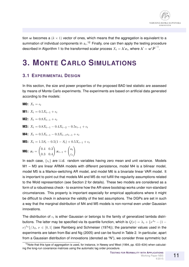

tion w becomes a  $(k \times 1)$  vector of ones, which means that the aggregation is equivalent to a summation of individual components in  $z_t$ .<sup>12</sup> Finally, one can then apply the testing procedure described in Algorithm 1 to the transformed scalar process  $X_t = \lambda' x_t$ , where  $\lambda' = w' \hat{\bm{P}}^{-1}.$ 

### **3. MONTE CARLO SIMULATIONS**

#### **3.1 EXPERIMENTAL DESIGN**

In this section, the size and power properties of the proposed BAD test statistic are assessed by means of Monte Carlo experiments. The experiments are based on artificial data generated according to the models:

$$
M0: X_t = \epsilon_t
$$

**M1:** 
$$
X_t = 0.5X_{t-1} + \epsilon_t
$$

**M2:** 
$$
X_t = 0.8X_{t-1} + \epsilon_t
$$

**M3:** 
$$
X_t = 0.8X_{t-1} - 0.4X_{t-2} - 0.5\epsilon_{t-1} + \epsilon_t
$$

**M4:** 
$$
X_t = 0.5X_{t-1} - 0.3X_{t-1}\epsilon_{t-1} + \epsilon_t
$$

**M5:** 
$$
X_t = 1.5S_t - 0.5(1 - S_t) + 0.5X_{t-1} + \epsilon_t
$$

$$
\textbf{M6: } x_t = \begin{pmatrix} 0.4 & 0.3 \\ 0.3 & 0.4 \end{pmatrix} x_{t-1} + \begin{pmatrix} a_t \\ \varepsilon_t \end{pmatrix}
$$

In each case,  $\{\epsilon_t\}$  are i.i.d. random variables having zero mean and unit variance. Models M1 – M3 are linear ARMA models with different persistence, model M4 is a bilinear model, model M5 is a Markov-switching AR model, and model M6 is a bivariate linear VAR model. It is important to point out that models M4 and M5 do not fulfill the regularity assumptions related to the Wold representation (see Section 2 for details). These two models are considered as a form of a robustness check - to examine how the AR-sieve bootstrap works under non-standard circumstances. This property is important especially for empirical applications where it might be difficult to check in advance the validity of the test assumptions. The DGPs are set in such a way that the marginal distribution of M4 and M5 models is non-normal even under Gaussian innovations.

The distribution of  $\epsilon_t$  is either Gaussian or belongs to the family of generalized lambda distributions. The latter may be specified via its quantile function, which is  $Q(\nu) = \lambda_1 + \{\nu^{\lambda_3} - (1 - \nu)\}$  $(\nu)^{\lambda_4}$ } $/\lambda_2$ ,  $\nu \in [0,1]$  (see Ramberg and Schmeiser (1974)); the parameter values used in the experiments are taken from Bai and Ng (2005) and can be found in Table 2. In particular, apart from a Gaussian distribution of innovations (denoted as "N"), we consider three symmetric but

 $12$ Note that this type of aggregation is used, for instance, in Newey and West (1994, pp. 633–634) when calculating the long-run covariance matrices using the automatic lag order procedure.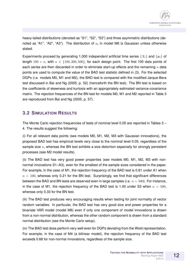heavy-tailed distributions (denoted as "S1", "S2", "S3") and three asymmetric distributions (denoted as "A1", "A2", "A3"). The distribution of  $a_t$  in model M6 is Gaussian unless otherwise stated.

Experiments proceed by generating 1,000 independent artificial time series  $\{X_t\}$  and  $\{x_t\}$  of length  $100 + n$ , with  $n \in \{100, 200, 500\}$ , for each design point. The first 100 data points of each series are then discarded in order to eliminate start-up effects and the remaining  $n$  data points are used to compute the value of the BAD test statistic defined in (3). For the selected DGPs (i.e. models M0, M1 and M2), the BAD test is compared with the modified Jarque-Bera test discussed in Bai and Ng (2005, p. 52) (henceforth the BN test). The BN test is based on the coefficients of skewness and kurtosis with an appropriately estimated variance-covariance matrix. The rejection frequencies of the BN test for models M0, M1 and M2 reported in Table 3 are reproduced from Bai and Ng (2005, p. 57).

#### **3.2 SIMULATION RESULTS**

The Monte Carlo rejection frequencies of tests of nominal level 0.05 are reported in Tables 3 – 4. The results suggest the following:

(i) For all relevant data points (see models M0, M1, M2, M3 with Gaussian innovations), the proposed BAD test has empirical levels very close to the nominal level 0.05, regardless of the sample size  $n$ , whereas the BN test exhibits a size distortion especially for strongly persistent processes (see M2 model results).

(ii) The BAD test has very good power properties (see models M0, M1, M2, M3 with nonnormal innovations S1–A3), even for the smallest of the sample sizes considered in the paper. For example, in the case of M1, the rejection frequency of the BAD test is 0.81 under A1 when  $n = 100$ , whereas only 0.21 for the BN test. Surprisingly, we find that significant differences between the BAD and BN tests are observed even in large samples (i.e.  $n = 500$ ). For instance, in the case of M1, the rejection frequency of the BAD test is 1.00 under S3 when  $n = 500$ , whereas only 0.33 for the BN test.

(iii) The BAD test produces very encouraging results when testing for joint normality of vector random variables. In particular, the BAD test has very good size and power properties for a bivariate VAR model (model M6) even if only one component of model innovations is drawn from a non-normal distribution, whereas the other random component is drawn from a standard normal distribution (see the Monte Carlo setup).

(iv) The BAD test does perform very well even for DGPs deviating from the Wold representation. For example, in the case of M4 (a bilinear model), the rejection frequency of the BAD test exceeds 0.68 for non-normal innovations, regardless of the sample size.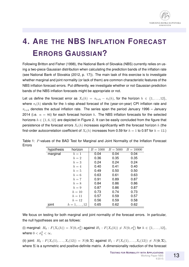

## **4. ARE THE NBS INFLATION FORECAST ERRORS GAUSSIAN?**

Following Britton and Fisher (1998), the National Bank of Slovakia (NBS) currently relies on using a two-piece Gaussian distribution when calculating the prediction bands of the inflation rate (see National Bank of Slovakia (2012, p. 17)). The main task of this exercise is to investigate whether marginal and joint normality (or lack of them) are common characteristic features of the NBS inflation forecast errors. Put differently, we investigate whether or not Gaussian prediction bands of the NBS inflation forecasts might be appropriate or not.

Let us define the forecast error as  $X_t(h) = \pi_{t+h} - \pi_t(h)$ , for the horizon  $h \in \{1, \ldots, 12\}$ , where  $\pi_t(h)$  stands for the h-step ahead forecast of the (year-on-year) CPI inflation rate and  $\pi_{t+h}$  denotes the actual inflation rate. The series span the period January 1996 – January 2014 (i.e.  $n = 86$ ) for each forecast horizon h. The NBS inflation forecasts for the selected horizons  $h \in \{1, 6, 12\}$  are depicted in Figure 2. It can be easily concluded from the figure that persistence of the forecast errors  $X_t(h)$  increases significantly with the forecast horizon h (the first-order autocorrelation coefficient of  $X_t(h)$  increases from 0.59 for  $h = 1$  to 0.97 for  $h = 12$ .)

| hypothesis | horizon             | $B = 1000$ | $B = 5000$ | $B = 10000$ |
|------------|---------------------|------------|------------|-------------|
| marginal   | $h=1$               | 0.04       | 0.04       | 0.04        |
|            | $h=2$               | 0.36       | 0.35       | 0.35        |
|            | $h=3$               | 0.24       | 0.24       | 0.24        |
|            | $h=4$               | 0.40       | 0.41       | 0.40        |
|            | $h=5$               | 0.49       | 0.50       | 0.50        |
|            | $h=6$               | 0.63       | 0.61       | 0.63        |
|            | $h=7$               | 0.91       | 0.89       | 0.87        |
|            | $h=8$               | 0.84       | 0.86       | 0.86        |
|            | $h=9$               | 0.87       | 0.86       | 0.87        |
|            | $h=10$              | 0.73       | 0.74       | 0.73        |
|            | $h=11$              | 0.57       | 0.59       | 0.57        |
|            | $h=12$              | 0.56       | 0.59       | 0.58        |
| joint      | $h = 1, \ldots, 12$ | 0.65       | 0.62       | 0.62        |

Table 1: P-values of the BAD Test for Marginal and Joint Normality of the Inflation Forecast Errors

We focus on testing for both marginal and joint normality of the forecast errors. In particular, the null hypotheses are set as follows:

(i) marginal:  $H_0: F(X_t(h)) = N(0, \sigma_h^2)$  against  $H_1: F(X_t(h)) \neq N(0, \sigma_h^2)$  for  $h \in \{1, ..., 12\}$ , where  $0 < \sigma_h^2 < \infty$ .

(ii) joint:  $H_0$ :  $F(X_t(1),...,X_t(12)) = N(0,\Sigma)$  against  $H_1 : F(X_t(1),...,X_t(12)) \neq N(0,\Sigma)$ , where  $\Sigma$  is a symmetric and positive-definite matrix. A dimensionality reduction of the forecast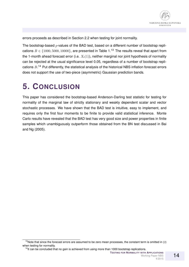

errors proceeds as described in Section 2.2 when testing for joint normality.

The bootstrap-based  $p$ -values of the BAD test, based on a different number of bootstrap replications  $B \in \{1000, 5000, 10000\}$ , are presented in Table 1.<sup>13</sup> The results reveal that apart from the 1-month ahead forecast error (i.e.  $X_t(1)$ ), neither marginal nor joint hypothesis of normality can be rejected at the usual significance level 0.05, regardless of a number of bootstrap replications  $B.^{14}$  Put differently, the statistical analysis of the historical NBS inflation forecast errors does not support the use of two-piece (asymmetric) Gaussian prediction bands.

### **5. CONCLUSION**

This paper has considered the bootstrap-based Anderson-Darling test statistic for testing for normality of the marginal law of strictly stationary and weakly dependent scalar and vector stochastic processes. We have shown that the BAD test is intuitive, easy to implement, and requires only the first four moments to be finite to provide valid statistical inference. Monte Carlo results have revealed that the BAD test has very good size and power properties in finite samples which unambiguously outperform those obtained from the BN test discussed in Bai and Ng (2005).

14

 $13$ Note that since the forecast errors are assumed to be zero mean processes, the constant term is omitted in (2) when testing for normality.

<sup>&</sup>lt;sup>14</sup>It can be concluded that no gain is achieved from using more than 1000 bootstrap replications.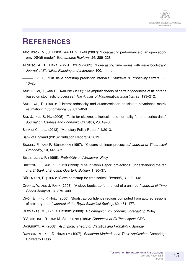

### **REFERENCES**

- ADOLFSON, M., J. LINDE´, AND M. VILLANI (2007): "Forecasting performance of an open economy DSGE model," *Econometric Reviews*, 26, 289–328.
- ALONSO, A., D. PEÑA, AND J. ROMO (2002): "Forecasting time series with sieve bootstrap," *Journal of Statistical Planning and Inference*, 100, 1–11.
- (2003): "On sieve bootstrap prediciton intervals," *Statistics & Probability Letters*, 65, 13–20.
- ANDERSON, T., AND D. DARLING (1952): "Asymptotic theory of certain "goodness of fit" criteria based on stochastic processes," *The Annals of Mathematical Statistics*, 23, 193–212.
- ANDREWS, D. (1991): "Heteroskedasticity and autocorrelation consistent covariance matrix estimation," *Econometrica*, 59, 817–858.
- BAI, J., AND S. NG (2005): "Tests for skewness, kurtosis, and normality for time series data," *Journal of Business and Economic Statistics*, 23, 49–60.
- Bank of Canada (2013): "Monetary Policy Report," 4/2013.
- Bank of England (2013): "Inflation Report," 4/2013.
- BICKEL, P., AND P. BUHLMANN ¨ (1997): "Closure of linear processes," *Journal of Theoretical Probability*, 10, 445–479.
- BILLINGSLEY, P. (1995): *Probability and Measure*. Wiley.
- BRITTON, E., AND P. FISHER (1998): "The Inflation Report projections: understanding the fan chart," *Bank of England Quarterly Bulletin*, 1, 30–37.
- BÜHLMANN, P. (1997): "Sieve bootstrap for time series," *Bernoulli*, 3, 123–148.
- CHANG, Y., AND J. PARK (2003): "A sieve bootstrap for the test of a unit root," *Journal of Time Series Analysis*, 24, 379–400.
- CHOI, E., AND P. HALL (2000): "Bootstrap confidence regions computed from autoregressions of arbitrary order," *Journal of the Royal Statistical Society*, 62, 461–477.
- CLEMENTS, M., AND D. HENDRY (2008): *A Companion to Economic Forecasting*. Wiley.
- D'AGOSTINO, R., AND M. STEPHENS (1986): *Goodness-of-Fit Techniques*. CRC.
- DASGUPTA, A. (2008): *Asymptotic Theory of Statistics and Probability*. Springer.
- DAVISON, A., AND D. HINKLEY (1997): *Bootstrap Methods and Their Application*. Cambridge University Press.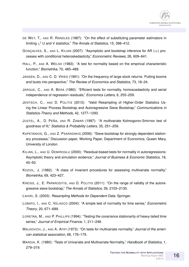- DE WET, T., AND R. RANDLES (1987): "On the effect of substituting parameter estimators in limiting  $\chi^2$  U and V statistics," *The Annals of Statistics*, 15, 398–412.
- GONCALVES, S., AND L. KILIAN (2007): "Asymptotic and bootstrap inference for AR ( $\infty$ ) processes with conditional heteroskedasticity," *Econometric Reviews*, 26, 609–641.
- HALL, P., AND A. WELSH (1983): "A test for normality based on the empirical characteristic function," *Biometrika*, 70, 485–489.
- JANSEN, D., AND C. D. VRIES (1991): "On the frequency of large stock returns: Putting booms and busts into perspective," *The Review of Economics and Statistics*, 73, 18–24.
- JARQUE, C., AND A. BERA (1980): "Efficient tests for normality, homoscedasticity and serial independence of regression residuals," *Economics Letters*, 6, 255–259.
- JENTSCH, C., AND D. POLITIS (2013): "Valid Resampling of Higher-Order Statistics Using the Linear Process Bootstrap and Autoregressive Sieve Bootstrap," *Communications in Statistics-Theory and Methods*, 42, 1277–1293.
- JUSTEL, A., D. PEÑA, AND R. ZAMAR (1997): "A multivariate Kolmogorov-Smirnov test of goodness of fit," *Statistics & Probability Letters*, 35, 251–259.
- KAPETANIOS, G., AND Z. PSARADAKIS (2006): "Sieve bootstrap for strongly dependent stationary processes," Discussion paper, Working Paper, Department of Economics, Queen Mary, University of London.
- KILIAN, L., AND U. DEMIROGLU (2000): "Residual-based tests for normality in autoregressions: Asymptotic theory and simulation evidence," *Journal of Business & Economic Statistics*, 18, 40–50.
- KOZIOL, J. (1982): "A class of invariant procedures for assessing multivariate normality," *Biometrika*, 69, 423–427.
- KREISS, J., E. PAPARODITIS, AND D. POLITIS (2011): "On the range of validity of the autoregressive sieve bootstrap," *The Annals of Statistics*, 39, 2103–2130.
- LAHIRI, S. (2003): *Resampling Methods for Dependent Data*. Springer.
- LOBATO, I., AND C. VELASCO (2004): "A simple test of normality for time series," *Econometric Theory*, 20, 671–689.
- LORETAN, M., AND P. PHILLIPS (1994): "Testing the covariance stationarity of heavy-tailed time series," *Journal of Empirical Finance*, 1, 211–248.
- MALKOVICH, J., AND A. AFIFI (1973): "On tests for multivariate normality," *Journal of the american statistical association*, 68, 176–179.
- MARDIA, K. (1980): "Tests of Univariate and Multivariate Normality," *Handbook of Statistics*, 1, 279–319.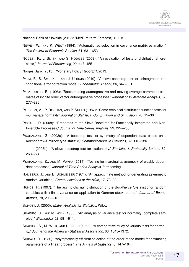

National Bank of Slovakia (2012): "Medium-term Forecast," 4/2012.

- NEWEY, W., AND K. WEST (1994): "Automatic lag selection in covariance matrix estimation," *The Review of Economic Studies*, 61, 631–653.
- NOCETI, P., J. SMITH, AND S. HODGES (2003): "An evaluation of tests of distributional forecasts," *Journal of Forecasting*, 22, 447–455.
- Norges Bank (2013): "Monetary Policy Report," 4/2013.
- PALM, F., S. SMEEKES, AND J. URBAIN (2010): "A sieve bootstrap test for cointegration in a conditional error correction model," *Econometric Theory*, 26, 647–681.
- PAPARODITIS, E. (1996): "Bootstrapping autoregressive and moving average parameter estimates of infinite order vector autoregressive processes," *Journal of Multivariate Analysis*, 57, 277–296.
- PAULSON, A., P. ROOHAN, AND P. SULLO (1987): "Some empirical distribution function tests for multivariate normality," *Journal of Statistical Computation and Simulation*, 28, 15–30.
- POSKITT, D. (2008): "Properties of the Sieve Bootstrap for Fractionally Integrated and Non-Invertible Processes," *Journal of Time Series Analysis*, 29, 224–250.
- PSARADAKIS, Z. (2003a): "A bootstrap test for symmetry of dependent data based on a Kolmogorov–Smirnov type statistic," *Communications in Statistics*, 32, 113–126.

(2003b): "A sieve bootstrap test for stationarity," *Statistics & Probability Letters*, 62, 263–274.

- PSARADAKIS, Z., AND M. VÁVRA (2014): "Testing for marginal asymemetry of weakly dependent processes," *Journal of Time Series Analysis*, forthcoming.
- RAMBERG, J., AND B. SCHMEISER (1974): "An approximate method for generating asymmetric random variables," *Communications of the ACM*, 17, 78–82.
- RUNDE, R. (1997): "The asymptotic null distribution of the Box-Pierce Q-statistic for random variables with infinite variance an application to German stock returns," *Journal of Econometrics*, 78, 205–216.
- SCHOTT, J. (2005): *Matrix Analysis for Statistics*. Wiley.
- SHAPIRO, S., AND M. WILK (1965): "An analysis of variance test for normality (complete samples)," *Biometrika*, 52, 591–611.
- SHAPIRO, S., M. WILK, AND H. CHEN (1968): "A comparative study of various tests for normality," *Journal of the American Statistical Association*, 63, 1343–1372.
- SHIBATA, R. (1980): "Asymptotically efficient selection of the order of the model for estimating parameters of a linear process," *The Annals of Statistics*, 8, 147–164.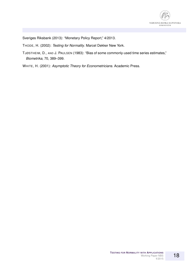

Sveriges Riksbank (2013): "Monetary Policy Report," 4/2013.

THODE, H. (2002): *Testing for Normality*. Marcel Dekker New York.

- TJØSTHEIM, D., AND J. PAULSEN (1983): "Bias of some commonly-used time series estimates," *Biometrika*, 70, 389–399.
- WHITE, H. (2001): *Asymptotic Theory for Econometricians*. Academic Press.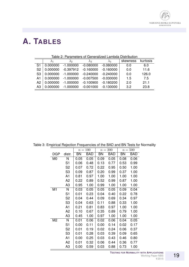

### **A. TABLES**

|                | Table 2. Farameters of Generalized Lambua Distribution |             |             |             |          |          |  |  |  |  |  |
|----------------|--------------------------------------------------------|-------------|-------------|-------------|----------|----------|--|--|--|--|--|
|                | $\lambda_1$                                            | $\lambda$ 2 | $\lambda_3$ | $\lambda_4$ | skewness | kurtosis |  |  |  |  |  |
| S1             | 0.000000                                               | $-1.000000$ | $-0.080000$ | $-0.080000$ | 0.0      | 6.0      |  |  |  |  |  |
| S <sub>2</sub> | 0.000000                                               | $-0.397912$ | $-0.160000$ | $-0.160000$ | 0.0      | 11.6     |  |  |  |  |  |
| S <sub>3</sub> | 0.000000                                               | $-1.000000$ | $-0.240000$ | $-0.240000$ | 0.0      | 126.0    |  |  |  |  |  |
| A1             | 0.000000                                               | $-1.000000$ | $-0.007500$ | $-0.030000$ | 1.5      | 7.5      |  |  |  |  |  |
| A2             | 0.000000                                               | $-1.000000$ | $-0.100900$ | $-0.180200$ | 2.0      | 21.1     |  |  |  |  |  |
| A3             | 0.000000                                               | $-1.000000$ | $-0.001000$ | $-0.130000$ | 3.2      | 23.8     |  |  |  |  |  |

Table 2: Parameters of Generalized Lambda Distribution

|                |                | $n = 100$                                      |            |           | $n=200$    | $n=500$   |            |  |
|----------------|----------------|------------------------------------------------|------------|-----------|------------|-----------|------------|--|
| <b>DGP</b>     | distr.         | <b>BN</b>                                      | <b>BAD</b> | <b>BN</b> | <b>BAD</b> | <b>BN</b> | <b>BAD</b> |  |
| M <sub>0</sub> | N              | 0.05                                           | 0.05       | 0.09      | 0.05       | 0.08      | 0.06       |  |
|                | S <sub>1</sub> | 0.06                                           | 0.48       | 0.13      | 0.77       | 0.53      | 0.99       |  |
|                | S <sub>2</sub> | 0.07                                           | 0.72       | 0.22      | 0.95       | 0.50      | 1.00       |  |
|                | S <sub>3</sub> | 0.09                                           | 0.87       | 0.20      | 0.99       | 0.37      | 1.00       |  |
|                | A1             | 0.81                                           | 0.97       | 1.00      | 1.00       | 1.00      | 1.00       |  |
|                | A <sub>2</sub> | 0.22                                           | 0.89       | 0.52      | 0.99       | 0.87      | 1.00       |  |
|                | A3             | 0.95                                           | 1.00       | 0.99      | 1.00       | 1.00      | 1.00       |  |
| M1             | N              | 0.03                                           | 0.05       | 0.05      | 0.05       | 0.09      | 0.04       |  |
|                | S <sub>1</sub> | 0.01                                           | 0.23       | 0.04      | 0.40       | 0.22      | 0.78       |  |
|                | S <sub>2</sub> | 0.04                                           | 0.44       | 0.09      | 0.69       | 0.34      | 0.97       |  |
|                | S <sub>3</sub> | 0.04                                           | 0.63       | 0.11      | 0.88       | 0.33      | 1.00       |  |
|                | A1             | 0.21                                           | 0.81       | 0.83      | 0.97       | 1.00      | 1.00       |  |
|                | A2             | 0.10                                           | 0.67       | 0.35      | 0.89       | 0.79      | 1.00       |  |
|                | A3             | 0.45                                           | 1.00       | 0.97      | 1.00       | 1.00      | 1.00       |  |
| M <sub>2</sub> | N              | 0.01                                           | 0.06       | 0.02      | 0.06       | 0.04      | 0.05       |  |
|                | S <sub>1</sub> | 0.00<br>0.11<br>S <sub>2</sub><br>0.01<br>0.19 |            | 0.00      | 0.14       | 0.02      | 0.17       |  |
|                |                |                                                |            | 0.02      | 0.24       | 0.06      | 0.37       |  |
|                | S <sub>3</sub> | 0.01                                           | 0.28       | 0.03      | 0.39       | 0.09      | 0.65       |  |
|                | A1             | 0.00                                           | 0.25       | 0.03      | 0.43       | 0.46      | 0.80       |  |
|                | A2             | 0.01                                           | 0.32       | 0.06      | 0.44       | 0.36      | 0.77       |  |
|                | A3             | 0.00                                           | 0.59       | 0.03      | 0.88       | 0.73      | 1.00       |  |

Table 3: Empirical Rejection Frequencies of the BAD and BN Tests for Normality